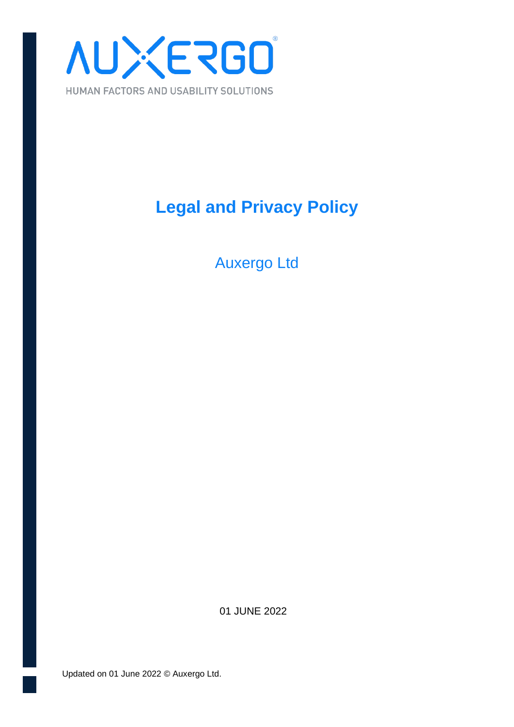

### **Legal and Privacy Policy**

Auxergo Ltd

01 JUNE 2022

Updated on 01 June 2022 © Auxergo Ltd.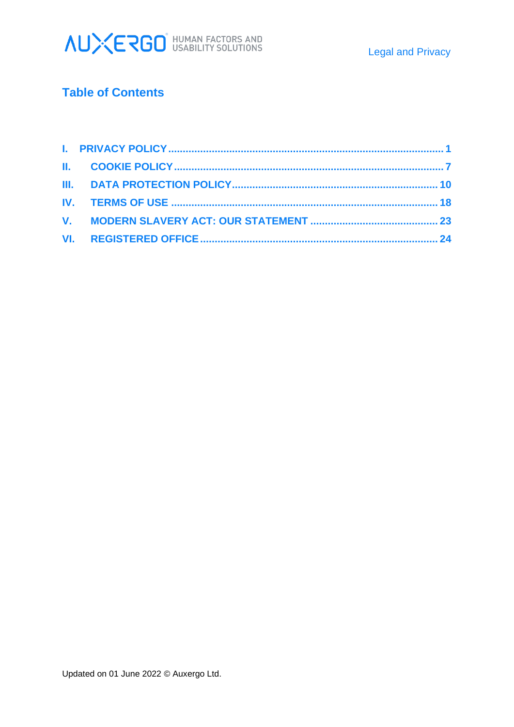

### **Table of Contents**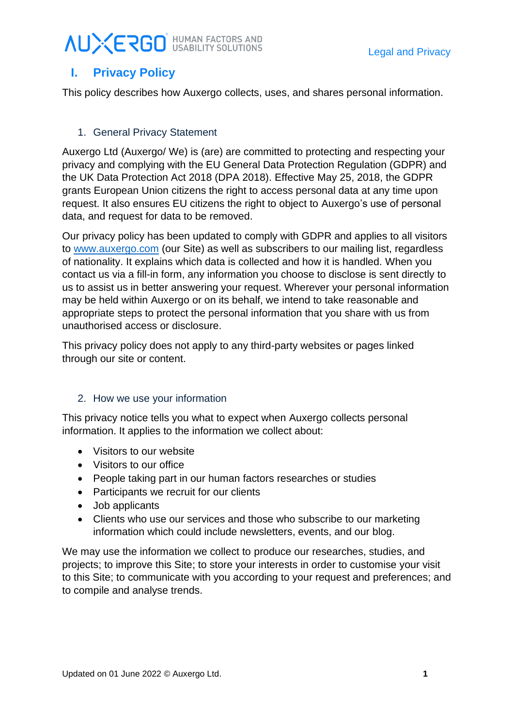### <span id="page-2-0"></span>**I. Privacy Policy**

This policy describes how Auxergo collects, uses, and shares personal information.

### 1. General Privacy Statement

Auxergo Ltd (Auxergo/ We) is (are) are committed to protecting and respecting your privacy and complying with the EU General Data Protection Regulation (GDPR) and the UK Data Protection Act 2018 (DPA 2018). Effective May 25, 2018, the GDPR grants European Union citizens the right to access personal data at any time upon request. It also ensures EU citizens the right to object to Auxergo's use of personal data, and request for data to be removed.

Our privacy policy has been updated to comply with GDPR and applies to all visitors to [www.auxergo.com](http://www.auxergo.com/) (our Site) as well as subscribers to our mailing list, regardless of nationality. It explains which data is collected and how it is handled. When you contact us via a fill-in form, any information you choose to disclose is sent directly to us to assist us in better answering your request. Wherever your personal information may be held within Auxergo or on its behalf, we intend to take reasonable and appropriate steps to protect the personal information that you share with us from unauthorised access or disclosure.

This privacy policy does not apply to any third-party websites or pages linked through our site or content.

### 2. How we use your information

This privacy notice tells you what to expect when Auxergo collects personal information. It applies to the information we collect about:

- Visitors to our website
- Visitors to our office
- People taking part in our human factors researches or studies
- Participants we recruit for our clients
- Job applicants
- Clients who use our services and those who subscribe to our marketing information which could include newsletters, events, and our blog.

We may use the information we collect to produce our researches, studies, and projects; to improve this Site; to store your interests in order to customise your visit to this Site; to communicate with you according to your request and preferences; and to compile and analyse trends.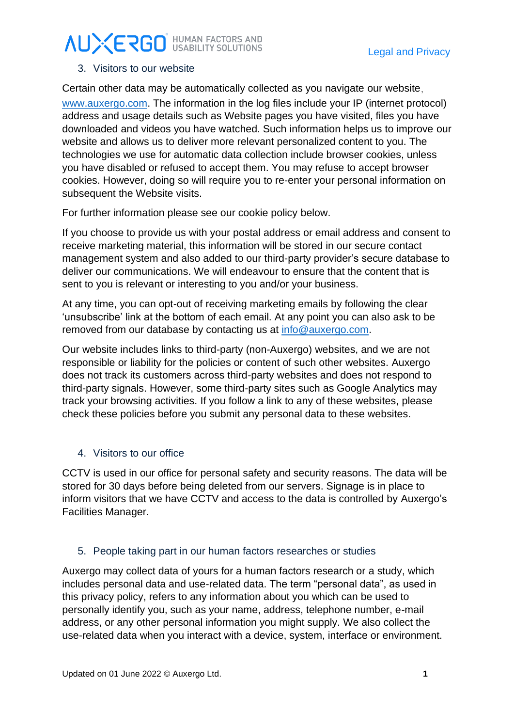#### 3. Visitors to our website

Certain other data may be automatically collected as you navigate our website, [www.auxergo.com.](http://www.auxergo.com/) The information in the log files include your IP (internet protocol) address and usage details such as Website pages you have visited, files you have downloaded and videos you have watched. Such information helps us to improve our website and allows us to deliver more relevant personalized content to you. The technologies we use for automatic data collection include browser cookies, unless you have disabled or refused to accept them. You may refuse to accept browser cookies. However, doing so will require you to re-enter your personal information on subsequent the Website visits.

For further information please see our cookie policy below.

If you choose to provide us with your postal address or email address and consent to receive marketing material, this information will be stored in our secure contact management system and also added to our third-party provider's secure database to deliver our communications. We will endeavour to ensure that the content that is sent to you is relevant or interesting to you and/or your business.

At any time, you can opt-out of receiving marketing emails by following the clear 'unsubscribe' link at the bottom of each email. At any point you can also ask to be removed from our database by contacting us at [info@auxergo.com.](mailto:info@auxergo.com)

Our website includes links to third-party (non-Auxergo) websites, and we are not responsible or liability for the policies or content of such other websites. Auxergo does not track its customers across third-party websites and does not respond to third-party signals. However, some third-party sites such as Google Analytics may track your browsing activities. If you follow a link to any of these websites, please check these policies before you submit any personal data to these websites.

### 4. Visitors to our office

CCTV is used in our office for personal safety and security reasons. The data will be stored for 30 days before being deleted from our servers. Signage is in place to inform visitors that we have CCTV and access to the data is controlled by Auxergo's Facilities Manager.

### 5. People taking part in our human factors researches or studies

Auxergo may collect data of yours for a human factors research or a study, which includes personal data and use-related data. The term "personal data", as used in this privacy policy, refers to any information about you which can be used to personally identify you, such as your name, address, telephone number, e-mail address, or any other personal information you might supply. We also collect the use-related data when you interact with a device, system, interface or environment.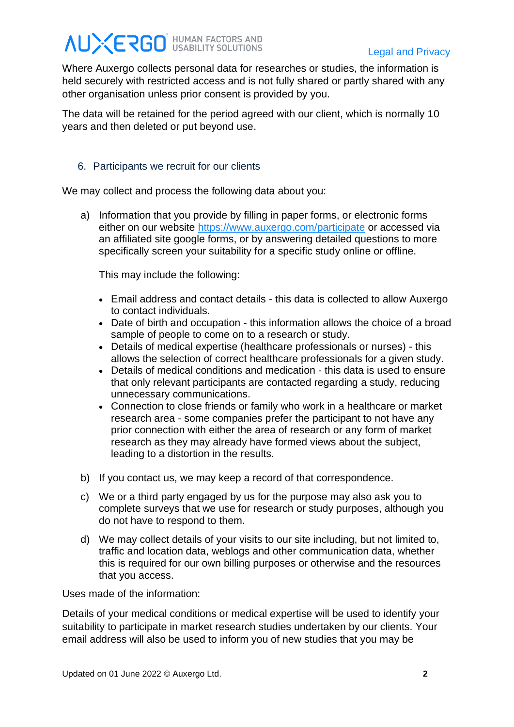Where Auxergo collects personal data for researches or studies, the information is held securely with restricted access and is not fully shared or partly shared with any other organisation unless prior consent is provided by you.

The data will be retained for the period agreed with our client, which is normally 10 years and then deleted or put beyond use.

#### 6. Participants we recruit for our clients

We may collect and process the following data about you:

a) Information that you provide by filling in paper forms, or electronic forms either on our website<https://www.auxergo.com/participate> or accessed via an affiliated site google forms, or by answering detailed questions to more specifically screen your suitability for a specific study online or offline.

This may include the following:

- Email address and contact details this data is collected to allow Auxergo to contact individuals.
- Date of birth and occupation this information allows the choice of a broad sample of people to come on to a research or study.
- Details of medical expertise (healthcare professionals or nurses) this allows the selection of correct healthcare professionals for a given study.
- Details of medical conditions and medication this data is used to ensure that only relevant participants are contacted regarding a study, reducing unnecessary communications.
- Connection to close friends or family who work in a healthcare or market research area - some companies prefer the participant to not have any prior connection with either the area of research or any form of market research as they may already have formed views about the subject, leading to a distortion in the results.
- b) If you contact us, we may keep a record of that correspondence.
- c) We or a third party engaged by us for the purpose may also ask you to complete surveys that we use for research or study purposes, although you do not have to respond to them.
- d) We may collect details of your visits to our site including, but not limited to, traffic and location data, weblogs and other communication data, whether this is required for our own billing purposes or otherwise and the resources that you access.

Uses made of the information:

Details of your medical conditions or medical expertise will be used to identify your suitability to participate in market research studies undertaken by our clients. Your email address will also be used to inform you of new studies that you may be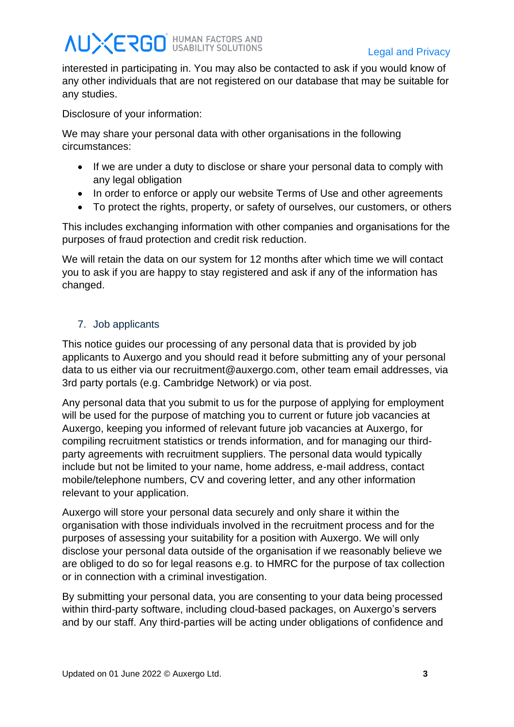interested in participating in. You may also be contacted to ask if you would know of any other individuals that are not registered on our database that may be suitable for any studies.

Disclosure of your information:

We may share your personal data with other organisations in the following circumstances:

- If we are under a duty to disclose or share your personal data to comply with any legal obligation
- In order to enforce or apply our website Terms of Use and other agreements
- To protect the rights, property, or safety of ourselves, our customers, or others

This includes exchanging information with other companies and organisations for the purposes of fraud protection and credit risk reduction.

We will retain the data on our system for 12 months after which time we will contact you to ask if you are happy to stay registered and ask if any of the information has changed.

### 7. Job applicants

This notice guides our processing of any personal data that is provided by job applicants to Auxergo and you should read it before submitting any of your personal data to us either via our recruitment@auxergo.com, other team email addresses, via 3rd party portals (e.g. Cambridge Network) or via post.

Any personal data that you submit to us for the purpose of applying for employment will be used for the purpose of matching you to current or future job vacancies at Auxergo, keeping you informed of relevant future job vacancies at Auxergo, for compiling recruitment statistics or trends information, and for managing our thirdparty agreements with recruitment suppliers. The personal data would typically include but not be limited to your name, home address, e-mail address, contact mobile/telephone numbers, CV and covering letter, and any other information relevant to your application.

Auxergo will store your personal data securely and only share it within the organisation with those individuals involved in the recruitment process and for the purposes of assessing your suitability for a position with Auxergo. We will only disclose your personal data outside of the organisation if we reasonably believe we are obliged to do so for legal reasons e.g. to HMRC for the purpose of tax collection or in connection with a criminal investigation.

By submitting your personal data, you are consenting to your data being processed within third-party software, including cloud-based packages, on Auxergo's servers and by our staff. Any third-parties will be acting under obligations of confidence and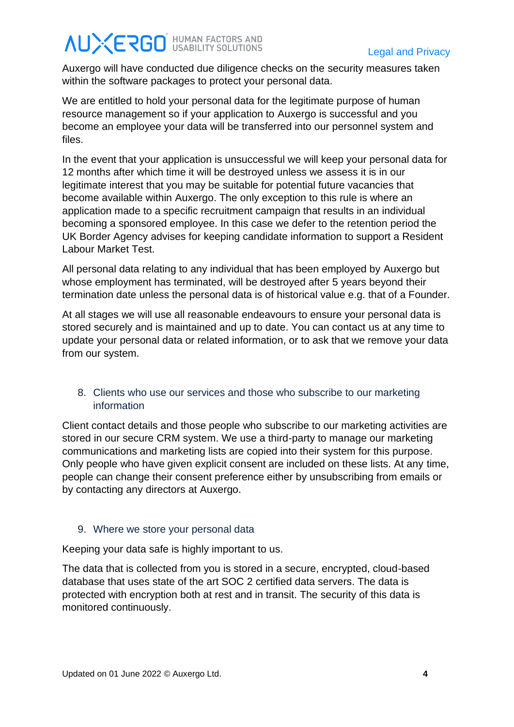Auxergo will have conducted due diligence checks on the security measures taken within the software packages to protect your personal data.

We are entitled to hold your personal data for the legitimate purpose of human resource management so if your application to Auxergo is successful and you become an employee your data will be transferred into our personnel system and files.

In the event that your application is unsuccessful we will keep your personal data for 12 months after which time it will be destroyed unless we assess it is in our legitimate interest that you may be suitable for potential future vacancies that become available within Auxergo. The only exception to this rule is where an application made to a specific recruitment campaign that results in an individual becoming a sponsored employee. In this case we defer to the retention period the UK Border Agency advises for keeping candidate information to support a Resident Labour Market Test.

All personal data relating to any individual that has been employed by Auxergo but whose employment has terminated, will be destroyed after 5 years beyond their termination date unless the personal data is of historical value e.g. that of a Founder.

At all stages we will use all reasonable endeavours to ensure your personal data is stored securely and is maintained and up to date. You can contact us at any time to update your personal data or related information, or to ask that we remove your data from our system.

#### 8. Clients who use our services and those who subscribe to our marketing information

Client contact details and those people who subscribe to our marketing activities are stored in our secure CRM system. We use a third-party to manage our marketing communications and marketing lists are copied into their system for this purpose. Only people who have given explicit consent are included on these lists. At any time, people can change their consent preference either by unsubscribing from emails or by contacting any directors at Auxergo.

### 9. Where we store your personal data

Keeping your data safe is highly important to us.

The data that is collected from you is stored in a secure, encrypted, cloud-based database that uses state of the art SOC 2 certified data servers. The data is protected with encryption both at rest and in transit. The security of this data is monitored continuously.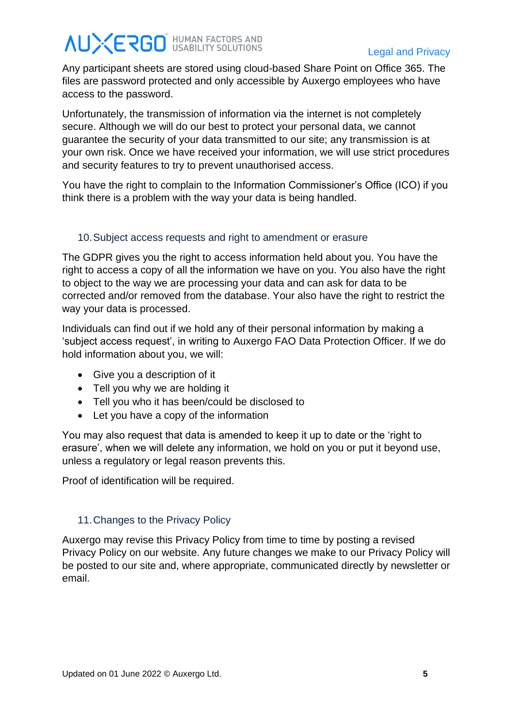# **AUXERGO** HUMAN FACTORS AND

Any participant sheets are stored using cloud-based Share Point on Office 365. The files are password protected and only accessible by Auxergo employees who have access to the password.

Unfortunately, the transmission of information via the internet is not completely secure. Although we will do our best to protect your personal data, we cannot guarantee the security of your data transmitted to our site; any transmission is at your own risk. Once we have received your information, we will use strict procedures and security features to try to prevent unauthorised access.

You have the right to complain to the Information Commissioner's Office (ICO) if you think there is a problem with the way your data is being handled.

### 10.Subject access requests and right to amendment or erasure

The GDPR gives you the right to access information held about you. You have the right to access a copy of all the information we have on you. You also have the right to object to the way we are processing your data and can ask for data to be corrected and/or removed from the database. Your also have the right to restrict the way your data is processed.

Individuals can find out if we hold any of their personal information by making a 'subject access request', in writing to Auxergo FAO Data Protection Officer. If we do hold information about you, we will:

- Give you a description of it
- Tell you why we are holding it
- Tell you who it has been/could be disclosed to
- Let you have a copy of the information

You may also request that data is amended to keep it up to date or the 'right to erasure', when we will delete any information, we hold on you or put it beyond use, unless a regulatory or legal reason prevents this.

Proof of identification will be required.

#### 11.Changes to the Privacy Policy

Auxergo may revise this Privacy Policy from time to time by posting a revised Privacy Policy on our website. Any future changes we make to our Privacy Policy will be posted to our site and, where appropriate, communicated directly by newsletter or email.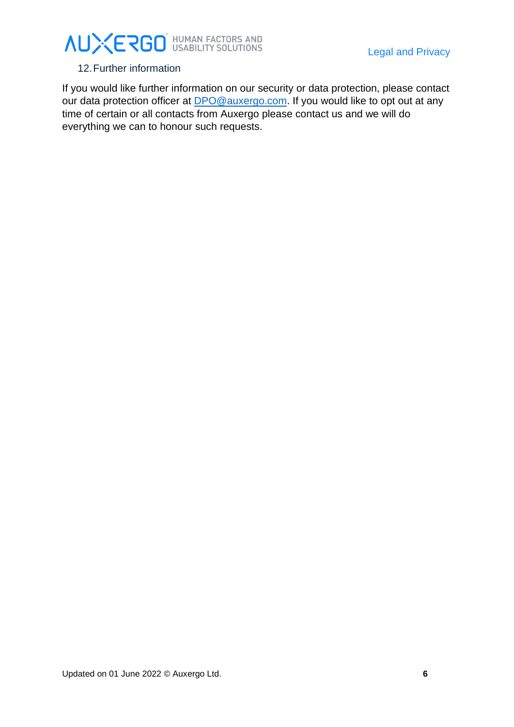#### 12.Further information

If you would like further information on our security or data protection, please contact our data protection officer at **DPO@auxergo.com**. If you would like to opt out at any time of certain or all contacts from Auxergo please contact us and we will do everything we can to honour such requests.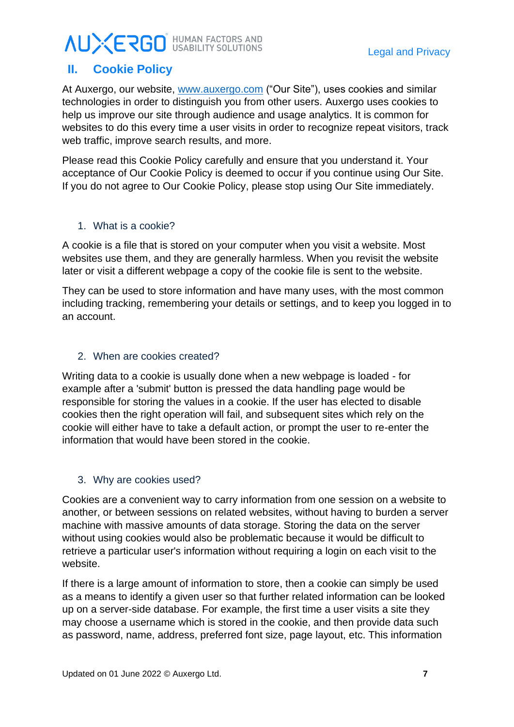## **AUXERGO** HUMAN FACTORS AND

### <span id="page-9-0"></span>**II. Cookie Policy**

At Auxergo, our website, [www.auxergo.com](http://www.auxergo.com/) ("Our Site"), uses cookies and similar technologies in order to distinguish you from other users. Auxergo uses cookies to help us improve our site through audience and usage analytics. It is common for websites to do this every time a user visits in order to recognize repeat visitors, track web traffic, improve search results, and more.

Please read this Cookie Policy carefully and ensure that you understand it. Your acceptance of Our Cookie Policy is deemed to occur if you continue using Our Site. If you do not agree to Our Cookie Policy, please stop using Our Site immediately.

### 1. What is a cookie?

A cookie is a file that is stored on your computer when you visit a website. Most websites use them, and they are generally harmless. When you revisit the website later or visit a different webpage a copy of the cookie file is sent to the website.

They can be used to store information and have many uses, with the most common including tracking, remembering your details or settings, and to keep you logged in to an account.

#### 2. When are cookies created?

Writing data to a cookie is usually done when a new webpage is loaded - for example after a 'submit' button is pressed the data handling page would be responsible for storing the values in a cookie. If the user has elected to disable cookies then the right operation will fail, and subsequent sites which rely on the cookie will either have to take a default action, or prompt the user to re-enter the information that would have been stored in the cookie.

### 3. Why are cookies used?

Cookies are a convenient way to carry information from one session on a website to another, or between sessions on related websites, without having to burden a server machine with massive amounts of data storage. Storing the data on the server without using cookies would also be problematic because it would be difficult to retrieve a particular user's information without requiring a login on each visit to the website.

If there is a large amount of information to store, then a cookie can simply be used as a means to identify a given user so that further related information can be looked up on a server-side database. For example, the first time a user visits a site they may choose a username which is stored in the cookie, and then provide data such as password, name, address, preferred font size, page layout, etc. This information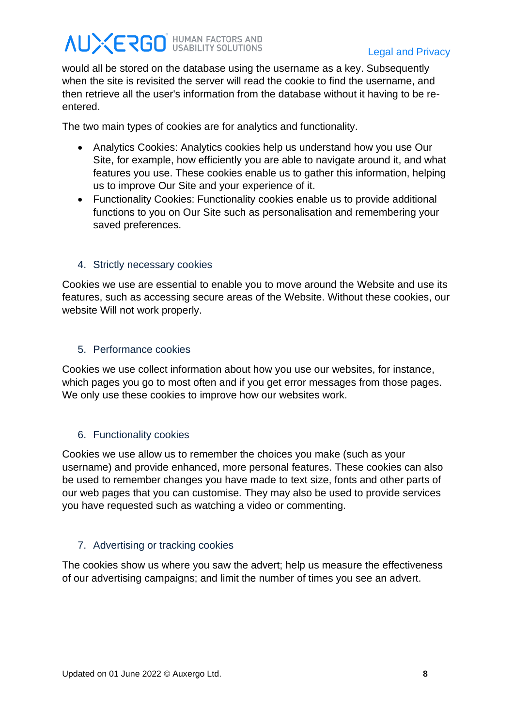# **AUXERGO** HUMAN FACTORS AND

would all be stored on the database using the username as a key. Subsequently when the site is revisited the server will read the cookie to find the username, and then retrieve all the user's information from the database without it having to be reentered.

The two main types of cookies are for analytics and functionality.

- Analytics Cookies: Analytics cookies help us understand how you use Our Site, for example, how efficiently you are able to navigate around it, and what features you use. These cookies enable us to gather this information, helping us to improve Our Site and your experience of it.
- Functionality Cookies: Functionality cookies enable us to provide additional functions to you on Our Site such as personalisation and remembering your saved preferences.

### 4. Strictly necessary cookies

Cookies we use are essential to enable you to move around the Website and use its features, such as accessing secure areas of the Website. Without these cookies, our website Will not work properly.

### 5. Performance cookies

Cookies we use collect information about how you use our websites, for instance, which pages you go to most often and if you get error messages from those pages. We only use these cookies to improve how our websites work.

### 6. Functionality cookies

Cookies we use allow us to remember the choices you make (such as your username) and provide enhanced, more personal features. These cookies can also be used to remember changes you have made to text size, fonts and other parts of our web pages that you can customise. They may also be used to provide services you have requested such as watching a video or commenting.

### 7. Advertising or tracking cookies

The cookies show us where you saw the advert; help us measure the effectiveness of our advertising campaigns; and limit the number of times you see an advert.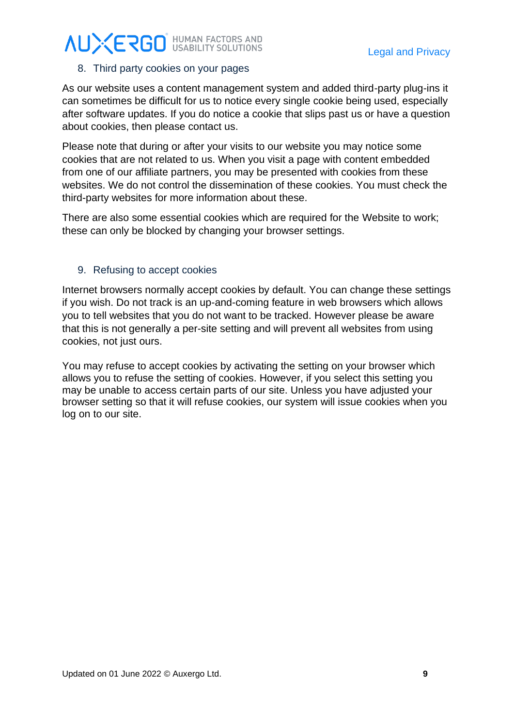### 8. Third party cookies on your pages

As our website uses a content management system and added third-party plug-ins it can sometimes be difficult for us to notice every single cookie being used, especially after software updates. If you do notice a cookie that slips past us or have a question about cookies, then please contact us.

Please note that during or after your visits to our website you may notice some cookies that are not related to us. When you visit a page with content embedded from one of our affiliate partners, you may be presented with cookies from these websites. We do not control the dissemination of these cookies. You must check the third-party websites for more information about these.

There are also some essential cookies which are required for the Website to work; these can only be blocked by changing your browser settings.

#### 9. Refusing to accept cookies

Internet browsers normally accept cookies by default. You can change these settings if you wish. Do not track is an up-and-coming feature in web browsers which allows you to tell websites that you do not want to be tracked. However please be aware that this is not generally a per-site setting and will prevent all websites from using cookies, not just ours.

You may refuse to accept cookies by activating the setting on your browser which allows you to refuse the setting of cookies. However, if you select this setting you may be unable to access certain parts of our site. Unless you have adjusted your browser setting so that it will refuse cookies, our system will issue cookies when you log on to our site.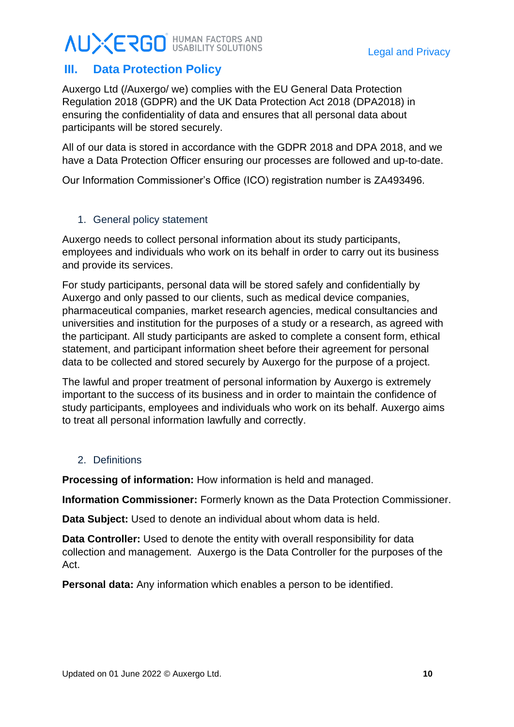### **AUXERGO** HUMAN FACTORS AND

### <span id="page-12-0"></span>**III. Data Protection Policy**

Auxergo Ltd (/Auxergo/ we) complies with the EU General Data Protection Regulation 2018 (GDPR) and the UK Data Protection Act 2018 (DPA2018) in ensuring the confidentiality of data and ensures that all personal data about participants will be stored securely.

All of our data is stored in accordance with the GDPR 2018 and DPA 2018, and we have a Data Protection Officer ensuring our processes are followed and up-to-date.

Our Information Commissioner's Office (ICO) registration number is ZA493496.

### 1. General policy statement

Auxergo needs to collect personal information about its study participants, employees and individuals who work on its behalf in order to carry out its business and provide its services.

For study participants, personal data will be stored safely and confidentially by Auxergo and only passed to our clients, such as medical device companies, pharmaceutical companies, market research agencies, medical consultancies and universities and institution for the purposes of a study or a research, as agreed with the participant. All study participants are asked to complete a consent form, ethical statement, and participant information sheet before their agreement for personal data to be collected and stored securely by Auxergo for the purpose of a project.

The lawful and proper treatment of personal information by Auxergo is extremely important to the success of its business and in order to maintain the confidence of study participants, employees and individuals who work on its behalf. Auxergo aims to treat all personal information lawfully and correctly.

### 2. Definitions

**Processing of information:** How information is held and managed.

**Information Commissioner:** Formerly known as the Data Protection Commissioner.

**Data Subject:** Used to denote an individual about whom data is held.

**Data Controller:** Used to denote the entity with overall responsibility for data collection and management. Auxergo is the Data Controller for the purposes of the Act.

**Personal data:** Any information which enables a person to be identified.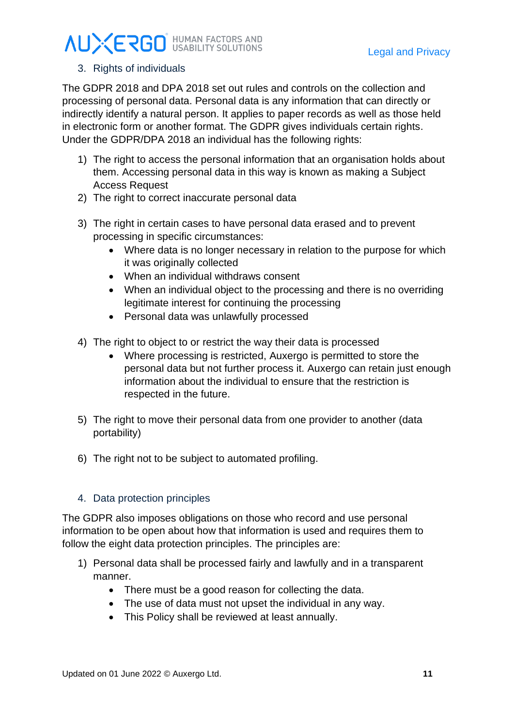### 3. Rights of individuals

The GDPR 2018 and DPA 2018 set out rules and controls on the collection and processing of personal data. Personal data is any information that can directly or indirectly identify a natural person. It applies to paper records as well as those held in electronic form or another format. The GDPR gives individuals certain rights. Under the GDPR/DPA 2018 an individual has the following rights:

- 1) The right to access the personal information that an organisation holds about them. Accessing personal data in this way is known as making a Subject Access Request
- 2) The right to correct inaccurate personal data
- 3) The right in certain cases to have personal data erased and to prevent processing in specific circumstances:
	- Where data is no longer necessary in relation to the purpose for which it was originally collected
	- When an individual withdraws consent
	- When an individual object to the processing and there is no overriding legitimate interest for continuing the processing
	- Personal data was unlawfully processed
- 4) The right to object to or restrict the way their data is processed
	- Where processing is restricted, Auxergo is permitted to store the personal data but not further process it. Auxergo can retain just enough information about the individual to ensure that the restriction is respected in the future.
- 5) The right to move their personal data from one provider to another (data portability)
- 6) The right not to be subject to automated profiling.

#### 4. Data protection principles

The GDPR also imposes obligations on those who record and use personal information to be open about how that information is used and requires them to follow the eight data protection principles. The principles are:

- 1) Personal data shall be processed fairly and lawfully and in a transparent manner.
	- There must be a good reason for collecting the data.
	- The use of data must not upset the individual in any way.
	- This Policy shall be reviewed at least annually.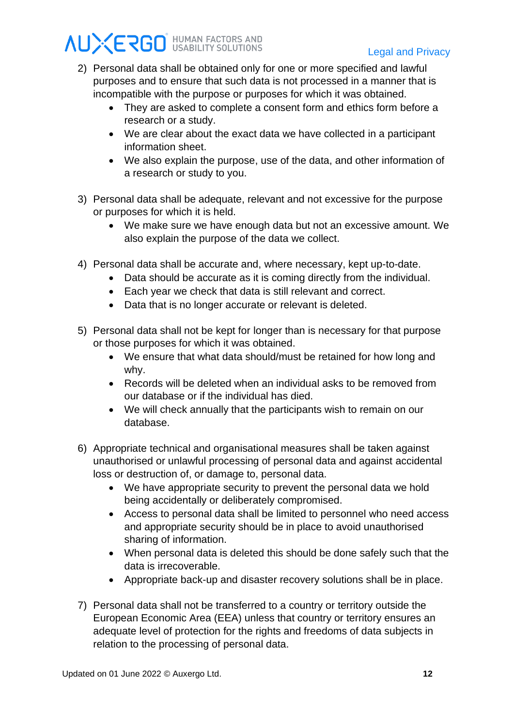- 2) Personal data shall be obtained only for one or more specified and lawful purposes and to ensure that such data is not processed in a manner that is incompatible with the purpose or purposes for which it was obtained.
	- They are asked to complete a consent form and ethics form before a research or a study.
	- We are clear about the exact data we have collected in a participant information sheet.
	- We also explain the purpose, use of the data, and other information of a research or study to you.
- 3) Personal data shall be adequate, relevant and not excessive for the purpose or purposes for which it is held.
	- We make sure we have enough data but not an excessive amount. We also explain the purpose of the data we collect.
- 4) Personal data shall be accurate and, where necessary, kept up-to-date.
	- Data should be accurate as it is coming directly from the individual.
	- Each year we check that data is still relevant and correct.
	- Data that is no longer accurate or relevant is deleted.
- 5) Personal data shall not be kept for longer than is necessary for that purpose or those purposes for which it was obtained.
	- We ensure that what data should/must be retained for how long and why.
	- Records will be deleted when an individual asks to be removed from our database or if the individual has died.
	- We will check annually that the participants wish to remain on our database.
- 6) Appropriate technical and organisational measures shall be taken against unauthorised or unlawful processing of personal data and against accidental loss or destruction of, or damage to, personal data.
	- We have appropriate security to prevent the personal data we hold being accidentally or deliberately compromised.
	- Access to personal data shall be limited to personnel who need access and appropriate security should be in place to avoid unauthorised sharing of information.
	- When personal data is deleted this should be done safely such that the data is irrecoverable.
	- Appropriate back-up and disaster recovery solutions shall be in place.
- 7) Personal data shall not be transferred to a country or territory outside the European Economic Area (EEA) unless that country or territory ensures an adequate level of protection for the rights and freedoms of data subjects in relation to the processing of personal data.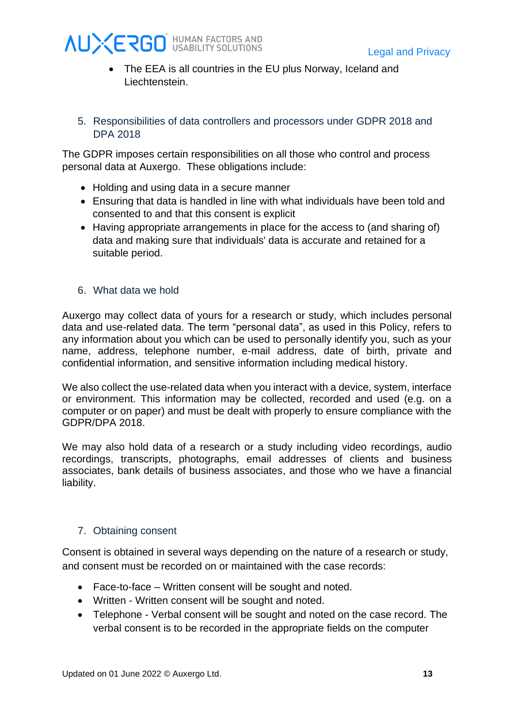

- The EEA is all countries in the EU plus Norway, Iceland and Liechtenstein.
- 5. Responsibilities of data controllers and processors under GDPR 2018 and DPA 2018

The GDPR imposes certain responsibilities on all those who control and process personal data at Auxergo. These obligations include:

- Holding and using data in a secure manner
- Ensuring that data is handled in line with what individuals have been told and consented to and that this consent is explicit
- Having appropriate arrangements in place for the access to (and sharing of) data and making sure that individuals' data is accurate and retained for a suitable period.
- 6. What data we hold

Auxergo may collect data of yours for a research or study, which includes personal data and use-related data. The term "personal data", as used in this Policy, refers to any information about you which can be used to personally identify you, such as your name, address, telephone number, e-mail address, date of birth, private and confidential information, and sensitive information including medical history.

We also collect the use-related data when you interact with a device, system, interface or environment. This information may be collected, recorded and used (e.g. on a computer or on paper) and must be dealt with properly to ensure compliance with the GDPR/DPA 2018.

We may also hold data of a research or a study including video recordings, audio recordings, transcripts, photographs, email addresses of clients and business associates, bank details of business associates, and those who we have a financial liability.

### 7. Obtaining consent

Consent is obtained in several ways depending on the nature of a research or study, and consent must be recorded on or maintained with the case records:

- Face-to-face Written consent will be sought and noted.
- Written Written consent will be sought and noted.
- Telephone Verbal consent will be sought and noted on the case record. The verbal consent is to be recorded in the appropriate fields on the computer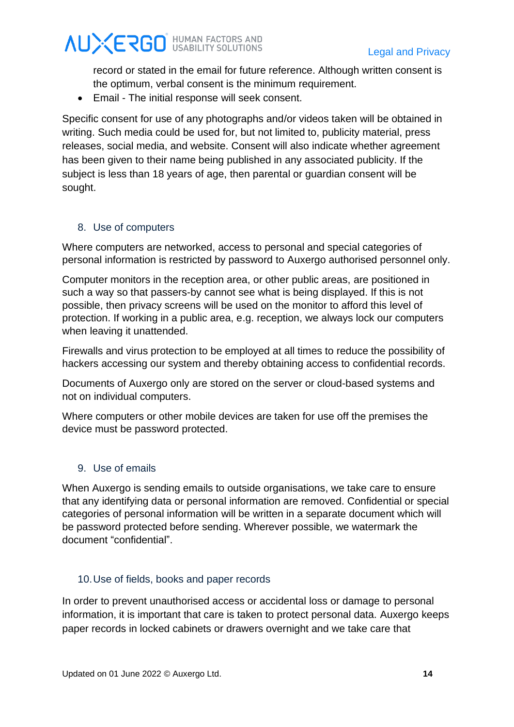record or stated in the email for future reference. Although written consent is the optimum, verbal consent is the minimum requirement.

• Email - The initial response will seek consent.

Specific consent for use of any photographs and/or videos taken will be obtained in writing. Such media could be used for, but not limited to, publicity material, press releases, social media, and website. Consent will also indicate whether agreement has been given to their name being published in any associated publicity. If the subject is less than 18 years of age, then parental or guardian consent will be sought.

### 8. Use of computers

Where computers are networked, access to personal and special categories of personal information is restricted by password to Auxergo authorised personnel only.

Computer monitors in the reception area, or other public areas, are positioned in such a way so that passers-by cannot see what is being displayed. If this is not possible, then privacy screens will be used on the monitor to afford this level of protection. If working in a public area, e.g. reception, we always lock our computers when leaving it unattended.

Firewalls and virus protection to be employed at all times to reduce the possibility of hackers accessing our system and thereby obtaining access to confidential records.

Documents of Auxergo only are stored on the server or cloud-based systems and not on individual computers.

Where computers or other mobile devices are taken for use off the premises the device must be password protected.

### 9. Use of emails

When Auxergo is sending emails to outside organisations, we take care to ensure that any identifying data or personal information are removed. Confidential or special categories of personal information will be written in a separate document which will be password protected before sending. Wherever possible, we watermark the document "confidential".

### 10.Use of fields, books and paper records

In order to prevent unauthorised access or accidental loss or damage to personal information, it is important that care is taken to protect personal data. Auxergo keeps paper records in locked cabinets or drawers overnight and we take care that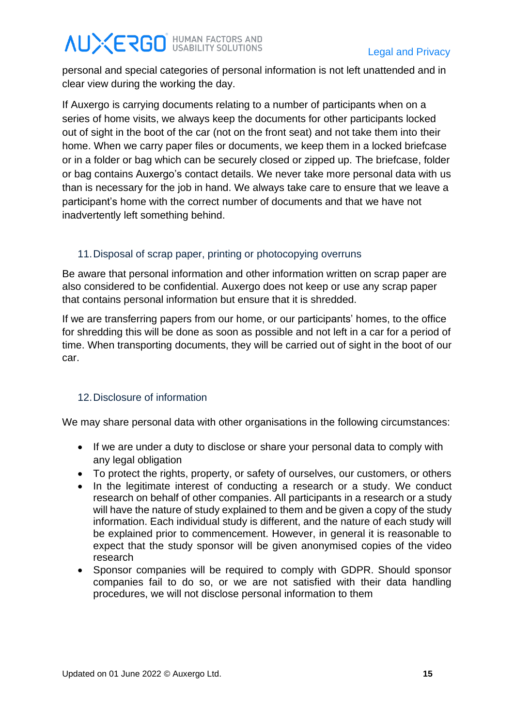personal and special categories of personal information is not left unattended and in clear view during the working the day.

If Auxergo is carrying documents relating to a number of participants when on a series of home visits, we always keep the documents for other participants locked out of sight in the boot of the car (not on the front seat) and not take them into their home. When we carry paper files or documents, we keep them in a locked briefcase or in a folder or bag which can be securely closed or zipped up. The briefcase, folder or bag contains Auxergo's contact details. We never take more personal data with us than is necessary for the job in hand. We always take care to ensure that we leave a participant's home with the correct number of documents and that we have not inadvertently left something behind.

### 11.Disposal of scrap paper, printing or photocopying overruns

Be aware that personal information and other information written on scrap paper are also considered to be confidential. Auxergo does not keep or use any scrap paper that contains personal information but ensure that it is shredded.

If we are transferring papers from our home, or our participants' homes, to the office for shredding this will be done as soon as possible and not left in a car for a period of time. When transporting documents, they will be carried out of sight in the boot of our car.

### 12.Disclosure of information

We may share personal data with other organisations in the following circumstances:

- If we are under a duty to disclose or share your personal data to comply with any legal obligation
- To protect the rights, property, or safety of ourselves, our customers, or others
- In the legitimate interest of conducting a research or a study. We conduct research on behalf of other companies. All participants in a research or a study will have the nature of study explained to them and be given a copy of the study information. Each individual study is different, and the nature of each study will be explained prior to commencement. However, in general it is reasonable to expect that the study sponsor will be given anonymised copies of the video research
- Sponsor companies will be required to comply with GDPR. Should sponsor companies fail to do so, or we are not satisfied with their data handling procedures, we will not disclose personal information to them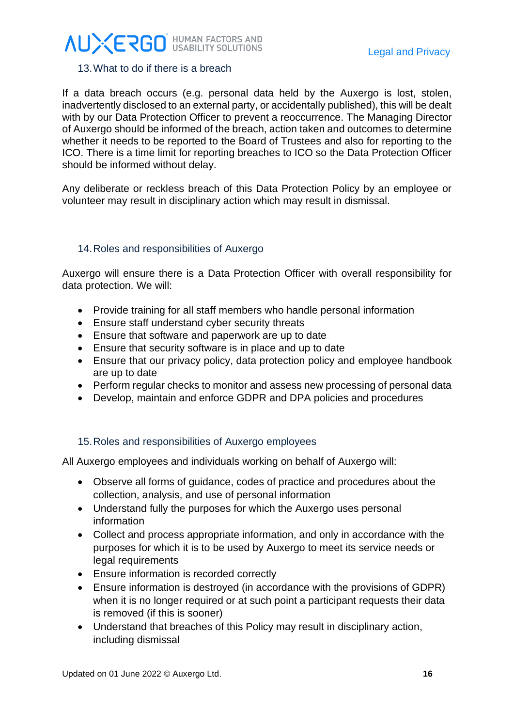#### 13.What to do if there is a breach

If a data breach occurs (e.g. personal data held by the Auxergo is lost, stolen, inadvertently disclosed to an external party, or accidentally published), this will be dealt with by our Data Protection Officer to prevent a reoccurrence. The Managing Director of Auxergo should be informed of the breach, action taken and outcomes to determine whether it needs to be reported to the Board of Trustees and also for reporting to the ICO. There is a time limit for reporting breaches to ICO so the Data Protection Officer should be informed without delay.

Any deliberate or reckless breach of this Data Protection Policy by an employee or volunteer may result in disciplinary action which may result in dismissal.

#### 14.Roles and responsibilities of Auxergo

Auxergo will ensure there is a Data Protection Officer with overall responsibility for data protection. We will:

- Provide training for all staff members who handle personal information
- Ensure staff understand cyber security threats
- Ensure that software and paperwork are up to date
- Ensure that security software is in place and up to date
- Ensure that our privacy policy, data protection policy and employee handbook are up to date
- Perform regular checks to monitor and assess new processing of personal data
- Develop, maintain and enforce GDPR and DPA policies and procedures

### 15.Roles and responsibilities of Auxergo employees

All Auxergo employees and individuals working on behalf of Auxergo will:

- Observe all forms of guidance, codes of practice and procedures about the collection, analysis, and use of personal information
- Understand fully the purposes for which the Auxergo uses personal information
- Collect and process appropriate information, and only in accordance with the purposes for which it is to be used by Auxergo to meet its service needs or legal requirements
- Ensure information is recorded correctly
- Ensure information is destroyed (in accordance with the provisions of GDPR) when it is no longer required or at such point a participant requests their data is removed (if this is sooner)
- Understand that breaches of this Policy may result in disciplinary action, including dismissal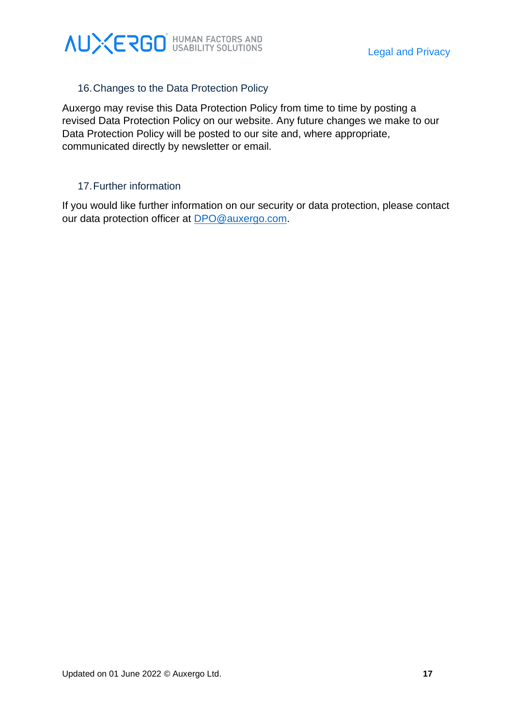

### 16.Changes to the Data Protection Policy

Auxergo may revise this Data Protection Policy from time to time by posting a revised Data Protection Policy on our website. Any future changes we make to our Data Protection Policy will be posted to our site and, where appropriate, communicated directly by newsletter or email.

#### 17.Further information

If you would like further information on our security or data protection, please contact our data protection officer at [DPO@auxergo.com.](mailto:DPO@auxergo.com)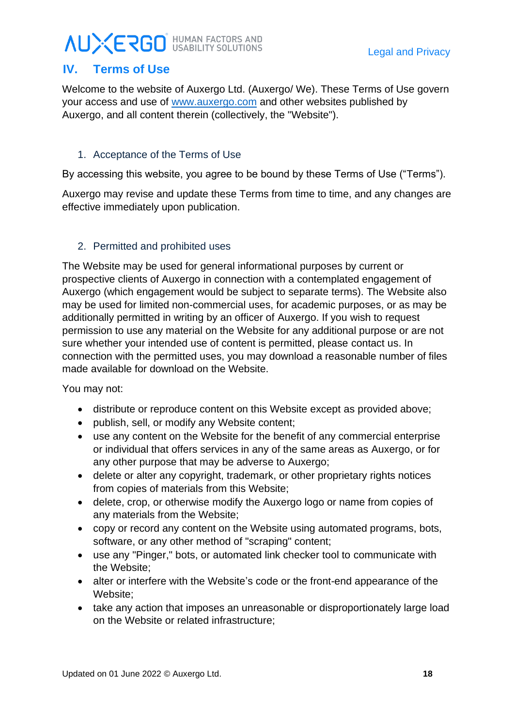### <span id="page-20-0"></span>**IV. Terms of Use**

Welcome to the website of Auxergo Ltd. (Auxergo/ We). These Terms of Use govern your access and use of [www.auxergo.com](http://www.auxergo.com/) and other websites published by Auxergo, and all content therein (collectively, the "Website").

### 1. Acceptance of the Terms of Use

By accessing this website, you agree to be bound by these Terms of Use ("Terms").

Auxergo may revise and update these Terms from time to time, and any changes are effective immediately upon publication.

### 2. Permitted and prohibited uses

The Website may be used for general informational purposes by current or prospective clients of Auxergo in connection with a contemplated engagement of Auxergo (which engagement would be subject to separate terms). The Website also may be used for limited non-commercial uses, for academic purposes, or as may be additionally permitted in writing by an officer of Auxergo. If you wish to request permission to use any material on the Website for any additional purpose or are not sure whether your intended use of content is permitted, please contact us. In connection with the permitted uses, you may download a reasonable number of files made available for download on the Website.

You may not:

- distribute or reproduce content on this Website except as provided above;
- publish, sell, or modify any Website content;
- use any content on the Website for the benefit of any commercial enterprise or individual that offers services in any of the same areas as Auxergo, or for any other purpose that may be adverse to Auxergo;
- delete or alter any copyright, trademark, or other proprietary rights notices from copies of materials from this Website;
- delete, crop, or otherwise modify the Auxergo logo or name from copies of any materials from the Website;
- copy or record any content on the Website using automated programs, bots, software, or any other method of "scraping" content;
- use any "Pinger," bots, or automated link checker tool to communicate with the Website;
- alter or interfere with the Website's code or the front-end appearance of the Website;
- take any action that imposes an unreasonable or disproportionately large load on the Website or related infrastructure;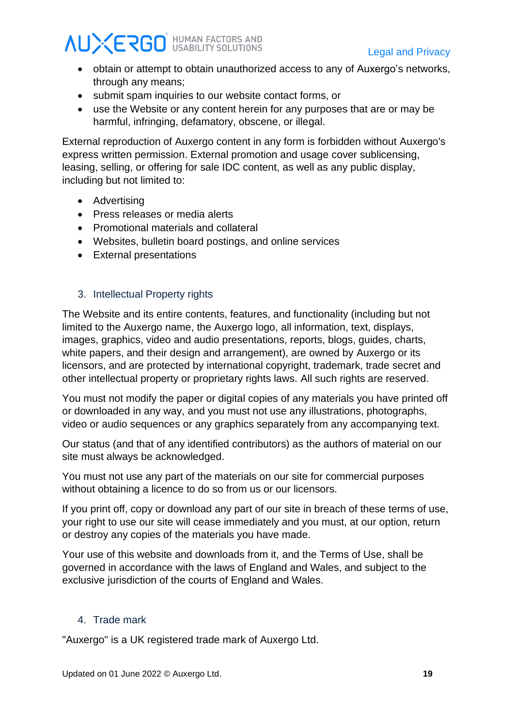- obtain or attempt to obtain unauthorized access to any of Auxergo's networks, through any means;
- submit spam inquiries to our website contact forms, or
- use the Website or any content herein for any purposes that are or may be harmful, infringing, defamatory, obscene, or illegal.

External reproduction of Auxergo content in any form is forbidden without Auxergo's express written permission. External promotion and usage cover sublicensing, leasing, selling, or offering for sale IDC content, as well as any public display, including but not limited to:

- Advertising
- Press releases or media alerts
- Promotional materials and collateral
- Websites, bulletin board postings, and online services
- External presentations

### 3. Intellectual Property rights

The Website and its entire contents, features, and functionality (including but not limited to the Auxergo name, the Auxergo logo, all information, text, displays, images, graphics, video and audio presentations, reports, blogs, guides, charts, white papers, and their design and arrangement), are owned by Auxergo or its licensors, and are protected by international copyright, trademark, trade secret and other intellectual property or proprietary rights laws. All such rights are reserved.

You must not modify the paper or digital copies of any materials you have printed off or downloaded in any way, and you must not use any illustrations, photographs, video or audio sequences or any graphics separately from any accompanying text.

Our status (and that of any identified contributors) as the authors of material on our site must always be acknowledged.

You must not use any part of the materials on our site for commercial purposes without obtaining a licence to do so from us or our licensors.

If you print off, copy or download any part of our site in breach of these terms of use, your right to use our site will cease immediately and you must, at our option, return or destroy any copies of the materials you have made.

Your use of this website and downloads from it, and the Terms of Use, shall be governed in accordance with the laws of England and Wales, and subject to the exclusive jurisdiction of the courts of England and Wales.

### 4. Trade mark

"Auxergo" is a UK registered trade mark of Auxergo Ltd.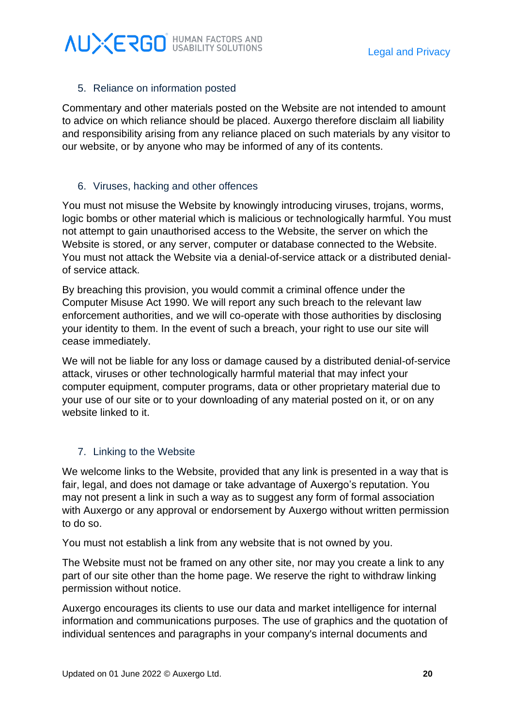## **AUXERGO** HUMAN FACTORS AND

### 5. Reliance on information posted

Commentary and other materials posted on the Website are not intended to amount to advice on which reliance should be placed. Auxergo therefore disclaim all liability and responsibility arising from any reliance placed on such materials by any visitor to our website, or by anyone who may be informed of any of its contents.

#### 6. Viruses, hacking and other offences

You must not misuse the Website by knowingly introducing viruses, trojans, worms, logic bombs or other material which is malicious or technologically harmful. You must not attempt to gain unauthorised access to the Website, the server on which the Website is stored, or any server, computer or database connected to the Website. You must not attack the Website via a denial-of-service attack or a distributed denialof service attack.

By breaching this provision, you would commit a criminal offence under the Computer Misuse Act 1990. We will report any such breach to the relevant law enforcement authorities, and we will co-operate with those authorities by disclosing your identity to them. In the event of such a breach, your right to use our site will cease immediately.

We will not be liable for any loss or damage caused by a distributed denial-of-service attack, viruses or other technologically harmful material that may infect your computer equipment, computer programs, data or other proprietary material due to your use of our site or to your downloading of any material posted on it, or on any website linked to it.

### 7. Linking to the Website

We welcome links to the Website, provided that any link is presented in a way that is fair, legal, and does not damage or take advantage of Auxergo's reputation. You may not present a link in such a way as to suggest any form of formal association with Auxergo or any approval or endorsement by Auxergo without written permission to do so.

You must not establish a link from any website that is not owned by you.

The Website must not be framed on any other site, nor may you create a link to any part of our site other than the home page. We reserve the right to withdraw linking permission without notice.

Auxergo encourages its clients to use our data and market intelligence for internal information and communications purposes. The use of graphics and the quotation of individual sentences and paragraphs in your company's internal documents and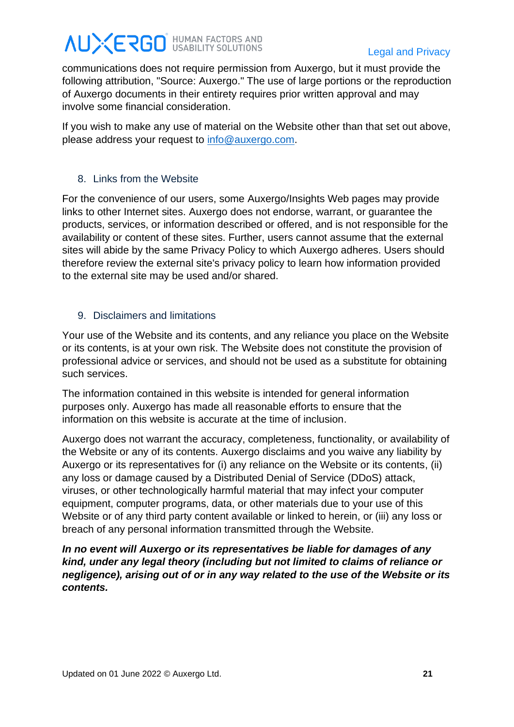communications does not require permission from Auxergo, but it must provide the following attribution, "Source: Auxergo." The use of large portions or the reproduction of Auxergo documents in their entirety requires prior written approval and may involve some financial consideration.

If you wish to make any use of material on the Website other than that set out above, please address your request to [info@auxergo.com.](mailto:info@auxergo.com)

### 8. Links from the Website

For the convenience of our users, some Auxergo/Insights Web pages may provide links to other Internet sites. Auxergo does not endorse, warrant, or guarantee the products, services, or information described or offered, and is not responsible for the availability or content of these sites. Further, users cannot assume that the external sites will abide by the same Privacy Policy to which Auxergo adheres. Users should therefore review the external site's privacy policy to learn how information provided to the external site may be used and/or shared.

### 9. Disclaimers and limitations

Your use of the Website and its contents, and any reliance you place on the Website or its contents, is at your own risk. The Website does not constitute the provision of professional advice or services, and should not be used as a substitute for obtaining such services.

The information contained in this website is intended for general information purposes only. Auxergo has made all reasonable efforts to ensure that the information on this website is accurate at the time of inclusion.

Auxergo does not warrant the accuracy, completeness, functionality, or availability of the Website or any of its contents. Auxergo disclaims and you waive any liability by Auxergo or its representatives for (i) any reliance on the Website or its contents, (ii) any loss or damage caused by a Distributed Denial of Service (DDoS) attack, viruses, or other technologically harmful material that may infect your computer equipment, computer programs, data, or other materials due to your use of this Website or of any third party content available or linked to herein, or (iii) any loss or breach of any personal information transmitted through the Website.

*In no event will Auxergo or its representatives be liable for damages of any kind, under any legal theory (including but not limited to claims of reliance or negligence), arising out of or in any way related to the use of the Website or its contents.*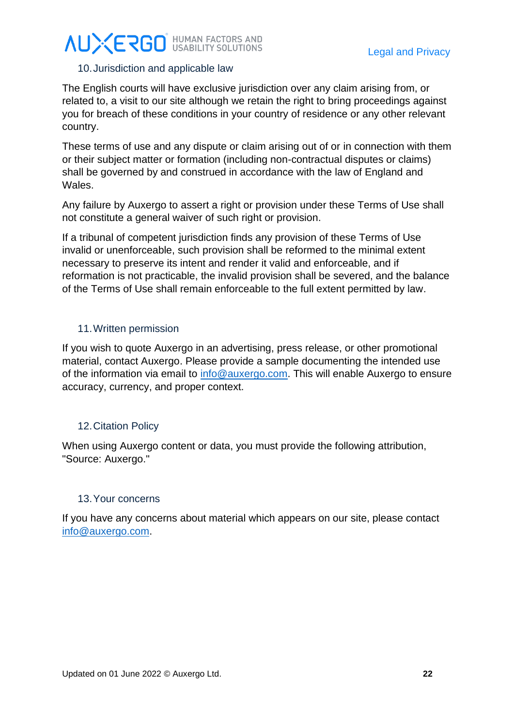### 10.Jurisdiction and applicable law

The English courts will have exclusive jurisdiction over any claim arising from, or related to, a visit to our site although we retain the right to bring proceedings against you for breach of these conditions in your country of residence or any other relevant country.

These terms of use and any dispute or claim arising out of or in connection with them or their subject matter or formation (including non-contractual disputes or claims) shall be governed by and construed in accordance with the law of England and Wales.

Any failure by Auxergo to assert a right or provision under these Terms of Use shall not constitute a general waiver of such right or provision.

If a tribunal of competent jurisdiction finds any provision of these Terms of Use invalid or unenforceable, such provision shall be reformed to the minimal extent necessary to preserve its intent and render it valid and enforceable, and if reformation is not practicable, the invalid provision shall be severed, and the balance of the Terms of Use shall remain enforceable to the full extent permitted by law.

#### 11.Written permission

If you wish to quote Auxergo in an advertising, press release, or other promotional material, contact Auxergo. Please provide a sample documenting the intended use of the information via email to [info@auxergo.com.](mailto:info@auxergo.com) This will enable Auxergo to ensure accuracy, currency, and proper context.

#### 12.Citation Policy

When using Auxergo content or data, you must provide the following attribution, "Source: Auxergo."

#### 13.Your concerns

If you have any concerns about material which appears on our site, please contact [info@auxergo.com.](mailto:info@auxergo.com)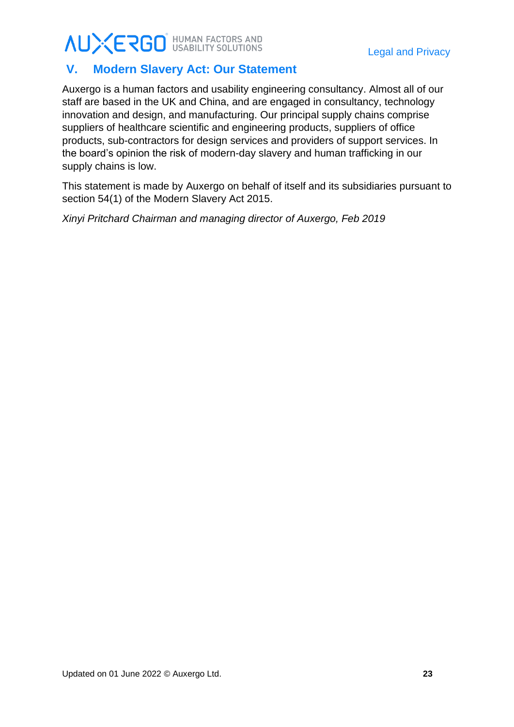### <span id="page-25-0"></span>**V. Modern Slavery Act: Our Statement**

Auxergo is a human factors and usability engineering consultancy. Almost all of our staff are based in the UK and China, and are engaged in consultancy, technology innovation and design, and manufacturing. Our principal supply chains comprise suppliers of healthcare scientific and engineering products, suppliers of office products, sub-contractors for design services and providers of support services. In the board's opinion the risk of modern-day slavery and human trafficking in our supply chains is low.

This statement is made by Auxergo on behalf of itself and its subsidiaries pursuant to section 54(1) of the Modern Slavery Act 2015.

*Xinyi Pritchard Chairman and managing director of Auxergo, Feb 2019*